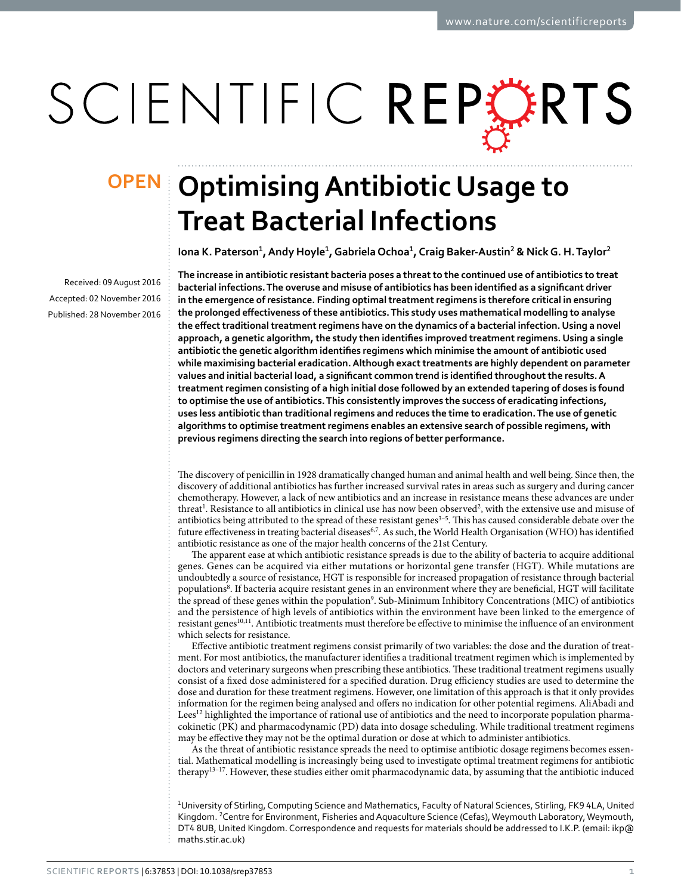# SCIENTIFIC REPERTS

Received: 09 August 2016 accepted: 02 November 2016 Published: 28 November 2016

## **Optimising Antibiotic Usage to OPENTreat Bacterial Infections**

**Iona K. Paterson<sup>1</sup>, Andy Hoyle<sup>1</sup>, GabrielaOchoa<sup>1</sup>, Craig Baker-Austin<sup>2</sup> & NickG. H.Taylor<sup>2</sup>**

**The increase in antibiotic resistant bacteria poses a threat to the continued use of antibiotics to treat bacterial infections. The overuse and misuse of antibiotics has been identified as a significant driver in the emergence of resistance. Finding optimal treatment regimens is therefore critical in ensuring the prolonged effectiveness of these antibiotics. This study uses mathematical modelling to analyse the effect traditional treatment regimens have on the dynamics of a bacterial infection. Using a novel approach, a genetic algorithm, the study then identifies improved treatment regimens. Using a single antibiotic the genetic algorithm identifies regimens which minimise the amount of antibiotic used while maximising bacterial eradication. Although exact treatments are highly dependent on parameter values and initial bacterial load, a significant common trend is identified throughout the results. A treatment regimen consisting of a high initial dose followed by an extended tapering of doses is found to optimise the use of antibiotics. This consistently improves the success of eradicating infections, uses less antibiotic than traditional regimens and reduces the time to eradication. The use of genetic algorithms to optimise treatment regimens enables an extensive search of possible regimens, with previous regimens directing the search into regions of better performance.**

The discovery of penicillin in 1928 dramatically changed human and animal health and well being. Since then, the discovery of additional antibiotics has further increased survival rates in areas such as surgery and during cancer chemotherapy. However, a lack of new antibiotics and an increase in resistance means these advances are under threat<sup>[1](#page-8-0)</sup>. Resistance to all antibiotics in clinical use has now been observed<sup>[2](#page-8-1)</sup>, with the extensive use and misuse of antibiotics being attributed to the spread of these resistant genes<sup>3-5</sup>. This has caused considerable debate over the future effectiveness in treating bacterial diseases<sup>6[,7](#page-8-4)</sup>. As such, the World Health Organisation (WHO) has identified antibiotic resistance as one of the major health concerns of the 21st Century.

The apparent ease at which antibiotic resistance spreads is due to the ability of bacteria to acquire additional genes. Genes can be acquired via either mutations or horizontal gene transfer (HGT). While mutations are undoubtedly a source of resistance, HGT is responsible for increased propagation of resistance through bacterial populations<sup>8</sup>. If bacteria acquire resistant genes in an environment where they are beneficial, HGT will facilitate the spread of these genes within the population<sup>9</sup>. Sub-Minimum Inhibitory Concentrations (MIC) of antibiotics and the persistence of high levels of antibiotics within the environment have been linked to the emergence of resistant genes<sup>10,11</sup>. Antibiotic treatments must therefore be effective to minimise the influence of an environment which selects for resistance.

Effective antibiotic treatment regimens consist primarily of two variables: the dose and the duration of treatment. For most antibiotics, the manufacturer identifies a traditional treatment regimen which is implemented by doctors and veterinary surgeons when prescribing these antibiotics. These traditional treatment regimens usually consist of a fixed dose administered for a specified duration. Drug efficiency studies are used to determine the dose and duration for these treatment regimens. However, one limitation of this approach is that it only provides information for the regimen being analysed and offers no indication for other potential regimens. AliAbadi and Lees[12](#page-8-9) highlighted the importance of rational use of antibiotics and the need to incorporate population pharmacokinetic (PK) and pharmacodynamic (PD) data into dosage scheduling. While traditional treatment regimens may be effective they may not be the optimal duration or dose at which to administer antibiotics.

As the threat of antibiotic resistance spreads the need to optimise antibiotic dosage regimens becomes essential. Mathematical modelling is increasingly being used to investigate optimal treatment regimens for antibiotic therapy[13–17](#page-8-10). However, these studies either omit pharmacodynamic data, by assuming that the antibiotic induced

<sup>1</sup>University of Stirling, Computing Science and Mathematics, Faculty of Natural Sciences, Stirling, FK9 4LA, United Kingdom. <sup>2</sup> Centre for Environment, Fisheries and Aquaculture Science (Cefas), Weymouth Laboratory, Weymouth, DT4 8UB, United Kingdom. Correspondence and requests for materials should be addressed to I.K.P. (email: [ikp@](mailto:ikp@maths.stir.ac.uk) [maths.stir.ac.uk\)](mailto:ikp@maths.stir.ac.uk)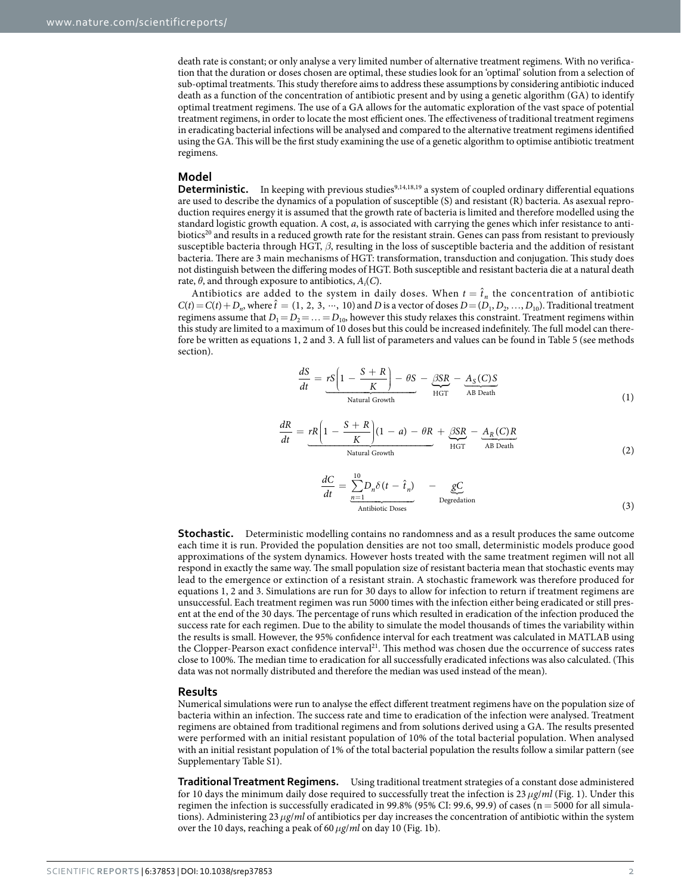death rate is constant; or only analyse a very limited number of alternative treatment regimens. With no verification that the duration or doses chosen are optimal, these studies look for an 'optimal' solution from a selection of sub-optimal treatments. This study therefore aims to address these assumptions by considering antibiotic induced death as a function of the concentration of antibiotic present and by using a genetic algorithm (GA) to identify optimal treatment regimens. The use of a GA allows for the automatic exploration of the vast space of potential treatment regimens, in order to locate the most efficient ones. The effectiveness of traditional treatment regimens in eradicating bacterial infections will be analysed and compared to the alternative treatment regimens identified using the GA. This will be the first study examining the use of a genetic algorithm to optimise antibiotic treatment regimens.

#### **Model**

**Deterministic.** In keeping with previous studies<sup>[9,](#page-8-6)[14](#page-8-11)[,18](#page-8-12),19</sup> a system of coupled ordinary differential equations are used to describe the dynamics of a population of susceptible (S) and resistant (R) bacteria. As asexual reproduction requires energy it is assumed that the growth rate of bacteria is limited and therefore modelled using the standard logistic growth equation. A cost, *a*, is associated with carrying the genes which infer resistance to antibiotics<sup>20</sup> and results in a reduced growth rate for the resistant strain. Genes can pass from resistant to previously susceptible bacteria through HGT, *β*, resulting in the loss of susceptible bacteria and the addition of resistant bacteria. There are 3 main mechanisms of HGT: transformation, transduction and conjugation. This study does not distinguish between the differing modes of HGT. Both susceptible and resistant bacteria die at a natural death rate,  $\theta$ , and through exposure to antibiotics,  $A_i(C)$ .

Antibiotics are added to the system in daily doses. When  $t = \hat{t}_n$  the concentration of antibiotic  $C(t) = C(t) + D_n$ , where  $\hat{t} = (1, 2, 3, \dots, 10)$  and *D* is a vector of doses  $D = (D_1, D_2, \dots, D_{10})$ . Traditional treatment regimens assume that  $D_1 = D_2 = \ldots = D_{10}$ , however this study relaxes this constraint. Treatment regimens within this study are limited to a maximum of 10 doses but this could be increased indefinitely. The full model can therefore be written as equations 1, 2 and 3. A full list of parameters and values can be found in [Table 5](#page-7-0) (see methods section).

$$
\frac{dS}{dt} = \underbrace{rS\left(1 - \frac{S + R}{K}\right) - \theta S}_{\text{Natural Growth}} - \underbrace{SSR}_{\text{HGT}} - \underbrace{A_S(C)S}_{\text{AB Death}} \tag{1}
$$

$$
\frac{dR}{dt} = rR\left(1 - \frac{S+R}{K}\right)(1-a) - \theta R + \underbrace{\beta SR}_{HGT} - \underbrace{A_R(C)R}_{AB\text{ Death}} \tag{2}
$$

$$
\frac{dC}{dt} = \frac{\sum_{n=1}^{10} D_n \delta(t - \hat{t}_n)}{\text{Antibiotic Does}} - \underbrace{\mathcal{g}C}_{\text{Degregation}} \tag{3}
$$

**Stochastic.** Deterministic modelling contains no randomness and as a result produces the same outcome each time it is run. Provided the population densities are not too small, deterministic models produce good approximations of the system dynamics. However hosts treated with the same treatment regimen will not all respond in exactly the same way. The small population size of resistant bacteria mean that stochastic events may lead to the emergence or extinction of a resistant strain. A stochastic framework was therefore produced for equations 1, 2 and 3. Simulations are run for 30 days to allow for infection to return if treatment regimens are unsuccessful. Each treatment regimen was run 5000 times with the infection either being eradicated or still present at the end of the 30 days. The percentage of runs which resulted in eradication of the infection produced the success rate for each regimen. Due to the ability to simulate the model thousands of times the variability within the results is small. However, the 95% confidence interval for each treatment was calculated in MATLAB using the Clopper-Pearson exact confidence interval<sup>21</sup>. This method was chosen due the occurrence of success rates close to 100%. The median time to eradication for all successfully eradicated infections was also calculated. (This data was not normally distributed and therefore the median was used instead of the mean).

#### **Results**

Numerical simulations were run to analyse the effect different treatment regimens have on the population size of bacteria within an infection. The success rate and time to eradication of the infection were analysed. Treatment regimens are obtained from traditional regimens and from solutions derived using a GA. The results presented were performed with an initial resistant population of 10% of the total bacterial population. When analysed with an initial resistant population of 1% of the total bacterial population the results follow a similar pattern (see Supplementary Table S1).

**Traditional Treatment Regimens.** Using traditional treatment strategies of a constant dose administered for 10 days the minimum daily dose required to successfully treat the infection is 23*μg*/*ml* [\(Fig. 1](#page-2-0)). Under this regimen the infection is successfully eradicated in 99.8% (95% CI: 99.6, 99.9) of cases ( $n = 5000$  for all simulations). Administering 23*μg*/*ml* of antibiotics per day increases the concentration of antibiotic within the system over the 10 days, reaching a peak of 60*μg*/*ml* on day 10 ([Fig. 1b](#page-2-0)).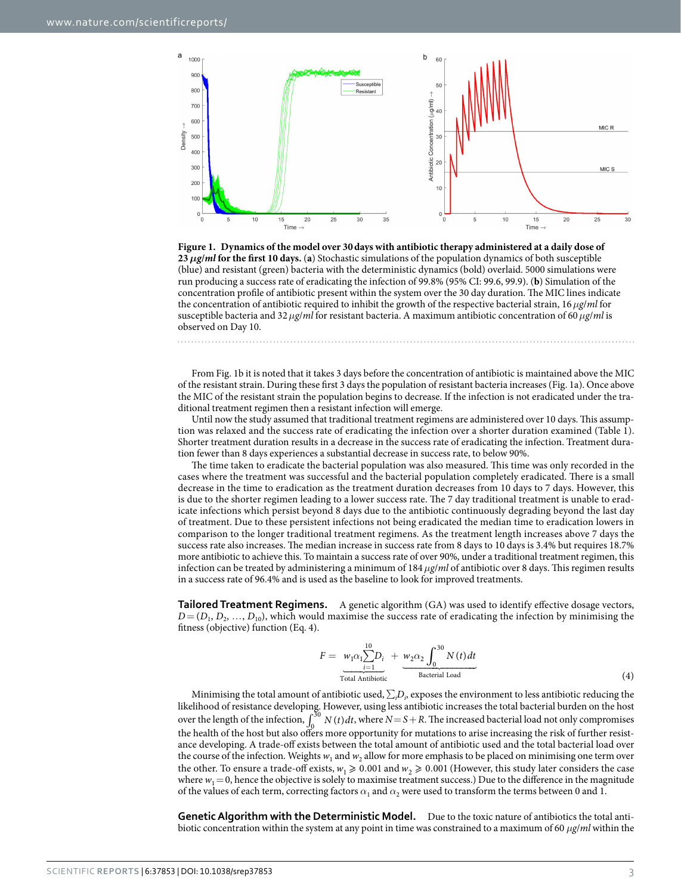

<span id="page-2-0"></span>**Figure 1. Dynamics of the model over 30days with antibiotic therapy administered at a daily dose of 23***µg*/ $m$ **l** for the first 10 days. (a) Stochastic simulations of the population dynamics of both susceptible (blue) and resistant (green) bacteria with the deterministic dynamics (bold) overlaid. 5000 simulations were run producing a success rate of eradicating the infection of 99.8% (95% CI: 99.6, 99.9). (**b**) Simulation of the concentration profile of antibiotic present within the system over the 30 day duration. The MIC lines indicate the concentration of antibiotic required to inhibit the growth of the respective bacterial strain, 16*μg*/*ml* for susceptible bacteria and 32*μg*/*ml* for resistant bacteria. A maximum antibiotic concentration of 60*μg*/*ml* is observed on Day 10.

From [Fig. 1b](#page-2-0) it is noted that it takes 3 days before the concentration of antibiotic is maintained above the MIC of the resistant strain. During these first 3 days the population of resistant bacteria increases ([Fig. 1a](#page-2-0)). Once above the MIC of the resistant strain the population begins to decrease. If the infection is not eradicated under the traditional treatment regimen then a resistant infection will emerge.

Until now the study assumed that traditional treatment regimens are administered over 10 days. This assumption was relaxed and the success rate of eradicating the infection over a shorter duration examined [\(Table 1](#page-3-0)). Shorter treatment duration results in a decrease in the success rate of eradicating the infection. Treatment duration fewer than 8 days experiences a substantial decrease in success rate, to below 90%.

The time taken to eradicate the bacterial population was also measured. This time was only recorded in the cases where the treatment was successful and the bacterial population completely eradicated. There is a small decrease in the time to eradication as the treatment duration decreases from 10 days to 7 days. However, this is due to the shorter regimen leading to a lower success rate. The 7 day traditional treatment is unable to eradicate infections which persist beyond 8 days due to the antibiotic continuously degrading beyond the last day of treatment. Due to these persistent infections not being eradicated the median time to eradication lowers in comparison to the longer traditional treatment regimens. As the treatment length increases above 7 days the success rate also increases. The median increase in success rate from 8 days to 10 days is 3.4% but requires 18.7% more antibiotic to achieve this. To maintain a success rate of over 90%, under a traditional treatment regimen, this infection can be treated by administering a minimum of 184*μg*/*ml* of antibiotic over 8 days. This regimen results in a success rate of 96.4% and is used as the baseline to look for improved treatments.

**Tailored Treatment Regimens.** A genetic algorithm (GA) was used to identify effective dosage vectors,  $D = (D_1, D_2, \ldots, D_{10})$ , which would maximise the success rate of eradicating the infection by minimising the fitness (objective) function (Eq. 4).

$$
F = \underbrace{w_1 \alpha_1 \sum_{i=1}^{10} D_i}_{\text{Total Antibiotic}} + \underbrace{w_2 \alpha_2 \int_0^{30} N(t) dt}_{\text{Bacterial Load}}
$$
\n
$$
\tag{4}
$$

Minimising the total amount of antibiotic used, ∑*<sup>i</sup> Di* , exposes the environment to less antibiotic reducing the likelihood of resistance developing. However, using less antibiotic increases the total bacterial burden on the host over the length of the infection,  $\int_{0}^{30} N(t) dt$ , where  $N = S + R$ . The increased bacterial load not only compromises the health of the host but also offers more opportunity for mutations to arise increasing the risk of further resistance developing. A trade-off exists between the total amount of antibiotic used and the total bacterial load over the course of the infection. Weights  $w_1$  and  $w_2$  allow for more emphasis to be placed on minimising one term over the other. To ensure a trade-off exists,  $w_1 \ge 0.001$  and  $w_2 \ge 0.001$  (However, this study later considers the case where  $w_1 = 0$ , hence the objective is solely to maximise treatment success.) Due to the difference in the magnitude of the values of each term, correcting factors  $\alpha_1$  and  $\alpha_2$  were used to transform the terms between 0 and 1.

**Genetic Algorithm with the Deterministic Model.** Due to the toxic nature of antibiotics the total antibiotic concentration within the system at any point in time was constrained to a maximum of 60 *μg*/*ml* within the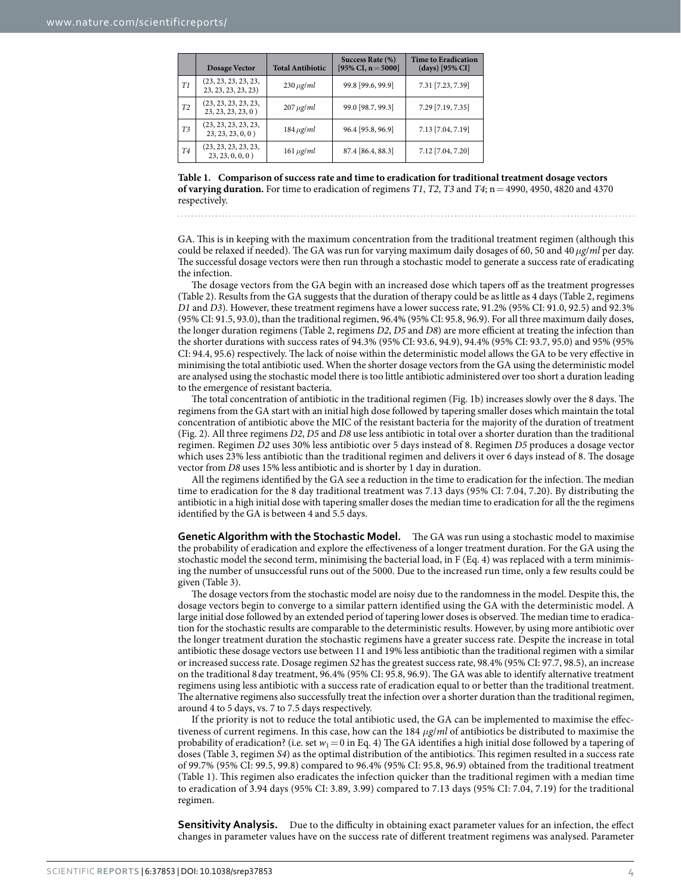<span id="page-3-0"></span>

|                | <b>Dosage Vector</b>                        | <b>Total Antibiotic</b> | Success Rate (%)<br>[95% CI, $n = 5000$ ] | <b>Time to Eradication</b><br>$(days)$ [95% CI] |
|----------------|---------------------------------------------|-------------------------|-------------------------------------------|-------------------------------------------------|
| T1             | (23, 23, 23, 23, 23,<br>23, 23, 23, 23, 23) | $230 \mu g/ml$          | 99.8 [99.6, 99.9]                         | 7.31 [7.23, 7.39]                               |
| T2             | (23, 23, 23, 23, 23,<br>23, 23, 23, 23, 0)  | $207 \mu g/ml$          | 99.0 [98.7, 99.3]                         | 7.29 [7.19, 7.35]                               |
| T3             | (23, 23, 23, 23, 23,<br>23, 23, 23, 0, 0)   | $184 \mu g/ml$          | 96.4 [95.8, 96.9]                         | 7.13 [7.04, 7.19]                               |
| T <sub>4</sub> | (23, 23, 23, 23, 23,<br>23, 23, 0, 0, 0)    | $161 \mu g/ml$          | 87.4 [86.4, 88.3]                         | 7.12 [7.04, 7.20]                               |

**Table 1. Comparison of success rate and time to eradication for traditional treatment dosage vectors of varying duration.** For time to eradication of regimens *T1*, *T2*, *T3* and *T4*; n=4990, 4950, 4820 and 4370 respectively.

GA. This is in keeping with the maximum concentration from the traditional treatment regimen (although this could be relaxed if needed). The GA was run for varying maximum daily dosages of 60, 50 and 40*μg*/*ml* per day. The successful dosage vectors were then run through a stochastic model to generate a success rate of eradicating the infection.

The dosage vectors from the GA begin with an increased dose which tapers off as the treatment progresses ([Table 2](#page-4-0)). Results from the GA suggests that the duration of therapy could be as little as 4 days [\(Table 2,](#page-4-0) regimens *D1* and *D3*). However, these treatment regimens have a lower success rate, 91.2% (95% CI: 91.0, 92.5) and 92.3% (95% CI: 91.5, 93.0), than the traditional regimen, 96.4% (95% CI: 95.8, 96.9). For all three maximum daily doses, the longer duration regimens [\(Table 2,](#page-4-0) regimens *D2*, *D5* and *D8*) are more efficient at treating the infection than the shorter durations with success rates of 94.3% (95% CI: 93.6, 94.9), 94.4% (95% CI: 93.7, 95.0) and 95% (95% CI: 94.4, 95.6) respectively. The lack of noise within the deterministic model allows the GA to be very effective in minimising the total antibiotic used. When the shorter dosage vectors from the GA using the deterministic model are analysed using the stochastic model there is too little antibiotic administered over too short a duration leading to the emergence of resistant bacteria.

The total concentration of antibiotic in the traditional regimen ([Fig. 1b\)](#page-2-0) increases slowly over the 8 days. The regimens from the GA start with an initial high dose followed by tapering smaller doses which maintain the total concentration of antibiotic above the MIC of the resistant bacteria for the majority of the duration of treatment ([Fig. 2](#page-4-1)). All three regimens *D2*, *D5* and *D8* use less antibiotic in total over a shorter duration than the traditional regimen. Regimen *D2* uses 30% less antibiotic over 5 days instead of 8. Regimen *D5* produces a dosage vector which uses 23% less antibiotic than the traditional regimen and delivers it over 6 days instead of 8. The dosage vector from *D8* uses 15% less antibiotic and is shorter by 1 day in duration.

All the regimens identified by the GA see a reduction in the time to eradication for the infection. The median time to eradication for the 8 day traditional treatment was 7.13 days (95% CI: 7.04, 7.20). By distributing the antibiotic in a high initial dose with tapering smaller doses the median time to eradication for all the the regimens identified by the GA is between 4 and 5.5 days.

**Genetic Algorithm with the Stochastic Model.** The GA was run using a stochastic model to maximise the probability of eradication and explore the effectiveness of a longer treatment duration. For the GA using the stochastic model the second term, minimising the bacterial load, in F (Eq. 4) was replaced with a term minimising the number of unsuccessful runs out of the 5000. Due to the increased run time, only a few results could be given [\(Table 3](#page-5-0)).

The dosage vectors from the stochastic model are noisy due to the randomness in the model. Despite this, the dosage vectors begin to converge to a similar pattern identified using the GA with the deterministic model. A large initial dose followed by an extended period of tapering lower doses is observed. The median time to eradication for the stochastic results are comparable to the deterministic results. However, by using more antibiotic over the longer treatment duration the stochastic regimens have a greater success rate. Despite the increase in total antibiotic these dosage vectors use between 11 and 19% less antibiotic than the traditional regimen with a similar or increased success rate. Dosage regimen *S2* has the greatest success rate, 98.4% (95% CI: 97.7, 98.5), an increase on the traditional 8day treatment, 96.4% (95% CI: 95.8, 96.9). The GA was able to identify alternative treatment regimens using less antibiotic with a success rate of eradication equal to or better than the traditional treatment. The alternative regimens also successfully treat the infection over a shorter duration than the traditional regimen, around 4 to 5 days, vs. 7 to 7.5 days respectively.

If the priority is not to reduce the total antibiotic used, the GA can be implemented to maximise the effectiveness of current regimens. In this case, how can the 184 *μg*/*ml* of antibiotics be distributed to maximise the probability of eradication? (i.e. set  $w_1 = 0$  in Eq. 4) The GA identifies a high initial dose followed by a tapering of doses ([Table 3](#page-5-0), regimen *S4*) as the optimal distribution of the antibiotics. This regimen resulted in a success rate of 99.7% (95% CI: 99.5, 99.8) compared to 96.4% (95% CI: 95.8, 96.9) obtained from the traditional treatment ([Table 1](#page-3-0)). This regimen also eradicates the infection quicker than the traditional regimen with a median time to eradication of 3.94 days (95% CI: 3.89, 3.99) compared to 7.13 days (95% CI: 7.04, 7.19) for the traditional regimen.

**Sensitivity Analysis.** Due to the difficulty in obtaining exact parameter values for an infection, the effect changes in parameter values have on the success rate of different treatment regimens was analysed. Parameter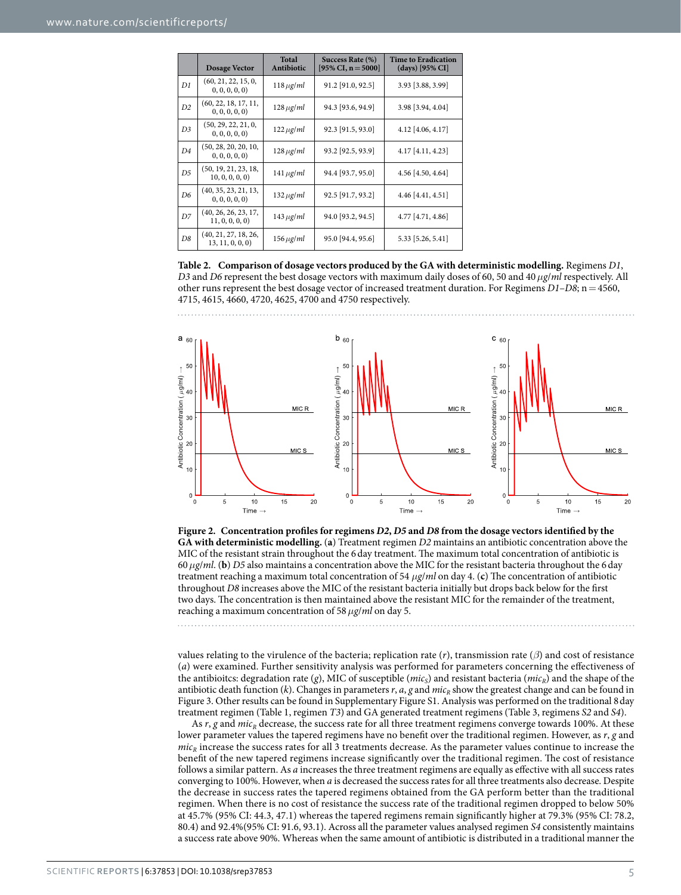<span id="page-4-0"></span>

|                | <b>Dosage Vector</b>                     | <b>Total</b><br>Antibiotic | Success Rate (%)<br>[95% CI, $n = 5000$ ] | <b>Time to Eradication</b><br>$(days)$ [95% CI] |
|----------------|------------------------------------------|----------------------------|-------------------------------------------|-------------------------------------------------|
| D1             | (60, 21, 22, 15, 0,<br>0, 0, 0, 0, 0)    | $118 \mu g/ml$             | 91.2 [91.0, 92.5]                         | 3.93 [3.88, 3.99]                               |
| D2             | (60, 22, 18, 17, 11,<br>0, 0, 0, 0, 0)   | $128 \mu g/ml$             | 94.3 [93.6, 94.9]                         | 3.98 [3.94, 4.04]                               |
| D <sub>3</sub> | (50, 29, 22, 21, 0,<br>0, 0, 0, 0, 0)    | $122 \mu g/ml$             | 92.3 [91.5, 93.0]                         | 4.12 [4.06, 4.17]                               |
| D <sub>4</sub> | (50, 28, 20, 20, 10,<br>0, 0, 0, 0, 0)   | $128 \mu g/ml$             | 93.2 [92.5, 93.9]                         | 4.17 [4.11, 4.23]                               |
| D <sub>5</sub> | (50, 19, 21, 23, 18,<br>10, 0, 0, 0, 0)  | $141 \mu g/ml$             | 94.4 [93.7, 95.0]                         | 4.56 [4.50, 4.64]                               |
| D <sub>6</sub> | (40, 35, 23, 21, 13,<br>0, 0, 0, 0, 0)   | $132 \mu g/ml$             | 92.5 [91.7, 93.2]                         | 4.46 [4.41, 4.51]                               |
| D7             | (40, 26, 26, 23, 17,<br>11, 0, 0, 0, 0)  | $143 \mu g/ml$             | 94.0 [93.2, 94.5]                         | 4.77 [4.71, 4.86]                               |
| D8             | (40, 21, 27, 18, 26,<br>13, 11, 0, 0, 0) | $156 \,\mu g/ml$           | 95.0 [94.4, 95.6]                         | 5.33 [5.26, 5.41]                               |

**Table 2. Comparison of dosage vectors produced by the GA with deterministic modelling.** Regimens *D1*, *D3* and *D6* represent the best dosage vectors with maximum daily doses of 60, 50 and 40*μg*/*ml* respectively. All other runs represent the best dosage vector of increased treatment duration. For Regimens *D1*–*D8*; n=4560, 4715, 4615, 4660, 4720, 4625, 4700 and 4750 respectively.



<span id="page-4-1"></span>**Figure 2. Concentration profiles for regimens** *D2***,** *D5* **and** *D8* **from the dosage vectors identified by the GA with deterministic modelling.** (**a**) Treatment regimen *D2* maintains an antibiotic concentration above the MIC of the resistant strain throughout the 6day treatment. The maximum total concentration of antibiotic is 60*μg*/*ml*. (**b**) *D5* also maintains a concentration above the MIC for the resistant bacteria throughout the 6day treatment reaching a maximum total concentration of 54 *μg*/*ml* on day 4. (**c**) The concentration of antibiotic throughout *D8* increases above the MIC of the resistant bacteria initially but drops back below for the first two days. The concentration is then maintained above the resistant MIC for the remainder of the treatment, reaching a maximum concentration of 58*μg*/*ml* on day 5.

values relating to the virulence of the bacteria; replication rate (*r*), transmission rate (*β*) and cost of resistance (*a*) were examined. Further sensitivity analysis was performed for parameters concerning the effectiveness of the antibioitcs: degradation rate (*g*), MIC of susceptible (*mic<sub>S</sub>*) and resistant bacteria ( $mic<sub>R</sub>$ ) and the shape of the antibiotic death function  $(k)$ . Changes in parameters  $r$ ,  $a$ ,  $g$  and  $mic<sub>R</sub>$  show the greatest change and can be found in [Figure 3.](#page-6-0) Other results can be found in Supplementary Figure S1. Analysis was performed on the traditional 8day treatment regimen [\(Table 1,](#page-3-0) regimen *T3*) and GA generated treatment regimens ([Table 3,](#page-5-0) regimens *S2* and *S4*).

As *r*, *g* and *mic<sub>R</sub>* decrease, the success rate for all three treatment regimens converge towards 100%. At these lower parameter values the tapered regimens have no benefit over the traditional regimen. However, as *r*, *g* and  $mic_R$  increase the success rates for all 3 treatments decrease. As the parameter values continue to increase the benefit of the new tapered regimens increase significantly over the traditional regimen. The cost of resistance follows a similar pattern. As *a* increases the three treatment regimens are equally as effective with all success rates converging to 100%. However, when *a* is decreased the success rates for all three treatments also decrease. Despite the decrease in success rates the tapered regimens obtained from the GA perform better than the traditional regimen. When there is no cost of resistance the success rate of the traditional regimen dropped to below 50% at 45.7% (95% CI: 44.3, 47.1) whereas the tapered regimens remain significantly higher at 79.3% (95% CI: 78.2, 80.4) and 92.4%(95% CI: 91.6, 93.1). Across all the parameter values analysed regimen *S4* consistently maintains a success rate above 90%. Whereas when the same amount of antibiotic is distributed in a traditional manner the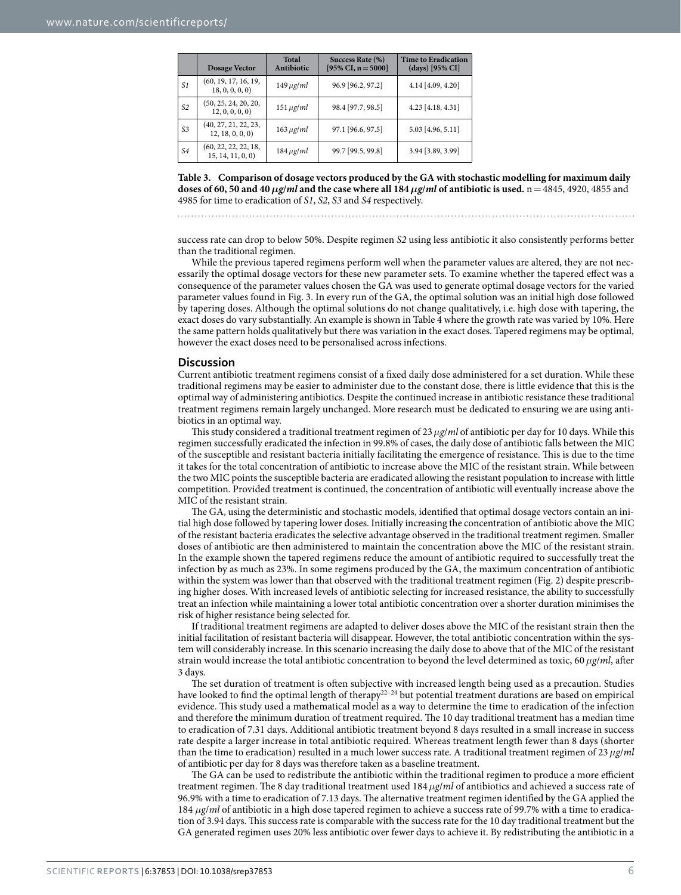<span id="page-5-0"></span>

|    | <b>Dosage Vector</b>                     | Total<br>Antibiotic | Success Rate (%)<br>$[95\% \text{ CI}, n = 5000]$ | <b>Time to Eradication</b><br>$(days)$ [95% CI] |
|----|------------------------------------------|---------------------|---------------------------------------------------|-------------------------------------------------|
| S1 | (60, 19, 17, 16, 19,<br>18, 0, 0, 0, 0)  | $149 \mu g/ml$      | 96.9 [96.2, 97.2]                                 | 4.14 [4.09, 4.20]                               |
| S2 | (50, 25, 24, 20, 20,<br>12, 0, 0, 0, 0)  | $151 \mu g/ml$      | 98.4 [97.7, 98.5]                                 | 4.23 [4.18, 4.31]                               |
| S3 | (40, 27, 21, 22, 23,<br>12, 18, 0, 0, 0) | $163 \mu g/ml$      | 97.1 [96.6, 97.5]                                 | 5.03 [4.96, 5.11]                               |
| S4 | (60, 22, 22, 22, 18,<br>15, 14, 11, 0, 0 | $184 \mu g/ml$      | 99.7 [99.5, 99.8]                                 | 3.94 [3.89, 3.99]                               |

**Table 3. Comparison of dosage vectors produced by the GA with stochastic modelling for maximum daily doses of 60, 50 and 40***μg*/*ml* **and the case where all 184***μg*/*ml* **of antibiotic is used.** n = 4845, 4920, 4855 and 4985 for time to eradication of *S1*, *S2*, *S3* and *S4* respectively.

success rate can drop to below 50%. Despite regimen *S2* using less antibiotic it also consistently performs better than the traditional regimen.

While the previous tapered regimens perform well when the parameter values are altered, they are not necessarily the optimal dosage vectors for these new parameter sets. To examine whether the tapered effect was a consequence of the parameter values chosen the GA was used to generate optimal dosage vectors for the varied parameter values found in [Fig. 3.](#page-6-0) In every run of the GA, the optimal solution was an initial high dose followed by tapering doses. Although the optimal solutions do not change qualitatively, i.e. high dose with tapering, the exact doses do vary substantially. An example is shown in [Table 4](#page-6-1) where the growth rate was varied by 10%. Here the same pattern holds qualitatively but there was variation in the exact doses. Tapered regimens may be optimal, however the exact doses need to be personalised across infections.

#### **Discussion**

Current antibiotic treatment regimens consist of a fixed daily dose administered for a set duration. While these traditional regimens may be easier to administer due to the constant dose, there is little evidence that this is the optimal way of administering antibiotics. Despite the continued increase in antibiotic resistance these traditional treatment regimens remain largely unchanged. More research must be dedicated to ensuring we are using antibiotics in an optimal way.

This study considered a traditional treatment regimen of 23*μg*/*ml* of antibiotic per day for 10 days. While this regimen successfully eradicated the infection in 99.8% of cases, the daily dose of antibiotic falls between the MIC of the susceptible and resistant bacteria initially facilitating the emergence of resistance. This is due to the time it takes for the total concentration of antibiotic to increase above the MIC of the resistant strain. While between the two MIC points the susceptible bacteria are eradicated allowing the resistant population to increase with little competition. Provided treatment is continued, the concentration of antibiotic will eventually increase above the MIC of the resistant strain.

The GA, using the deterministic and stochastic models, identified that optimal dosage vectors contain an initial high dose followed by tapering lower doses. Initially increasing the concentration of antibiotic above the MIC of the resistant bacteria eradicates the selective advantage observed in the traditional treatment regimen. Smaller doses of antibiotic are then administered to maintain the concentration above the MIC of the resistant strain. In the example shown the tapered regimens reduce the amount of antibiotic required to successfully treat the infection by as much as 23%. In some regimens produced by the GA, the maximum concentration of antibiotic within the system was lower than that observed with the traditional treatment regimen [\(Fig. 2](#page-4-1)) despite prescribing higher doses. With increased levels of antibiotic selecting for increased resistance, the ability to successfully treat an infection while maintaining a lower total antibiotic concentration over a shorter duration minimises the risk of higher resistance being selected for.

If traditional treatment regimens are adapted to deliver doses above the MIC of the resistant strain then the initial facilitation of resistant bacteria will disappear. However, the total antibiotic concentration within the system will considerably increase. In this scenario increasing the daily dose to above that of the MIC of the resistant strain would increase the total antibiotic concentration to beyond the level determined as toxic, 60*μg*/*ml*, after 3 days.

The set duration of treatment is often subjective with increased length being used as a precaution. Studies have looked to find the optimal length of therapy<sup>22–24</sup> but potential treatment durations are based on empirical evidence. This study used a mathematical model as a way to determine the time to eradication of the infection and therefore the minimum duration of treatment required. The 10 day traditional treatment has a median time to eradication of 7.31 days. Additional antibiotic treatment beyond 8 days resulted in a small increase in success rate despite a larger increase in total antibiotic required. Whereas treatment length fewer than 8 days (shorter than the time to eradication) resulted in a much lower success rate. A traditional treatment regimen of 23*μg*/*ml* of antibiotic per day for 8 days was therefore taken as a baseline treatment.

The GA can be used to redistribute the antibiotic within the traditional regimen to produce a more efficient treatment regimen. The 8 day traditional treatment used 184*μg*/*ml* of antibiotics and achieved a success rate of 96.9% with a time to eradication of 7.13 days. The alternative treatment regimen identified by the GA applied the 184 *μg*/*ml* of antibiotic in a high dose tapered regimen to achieve a success rate of 99.7% with a time to eradication of 3.94 days. This success rate is comparable with the success rate for the 10 day traditional treatment but the GA generated regimen uses 20% less antibiotic over fewer days to achieve it. By redistributing the antibiotic in a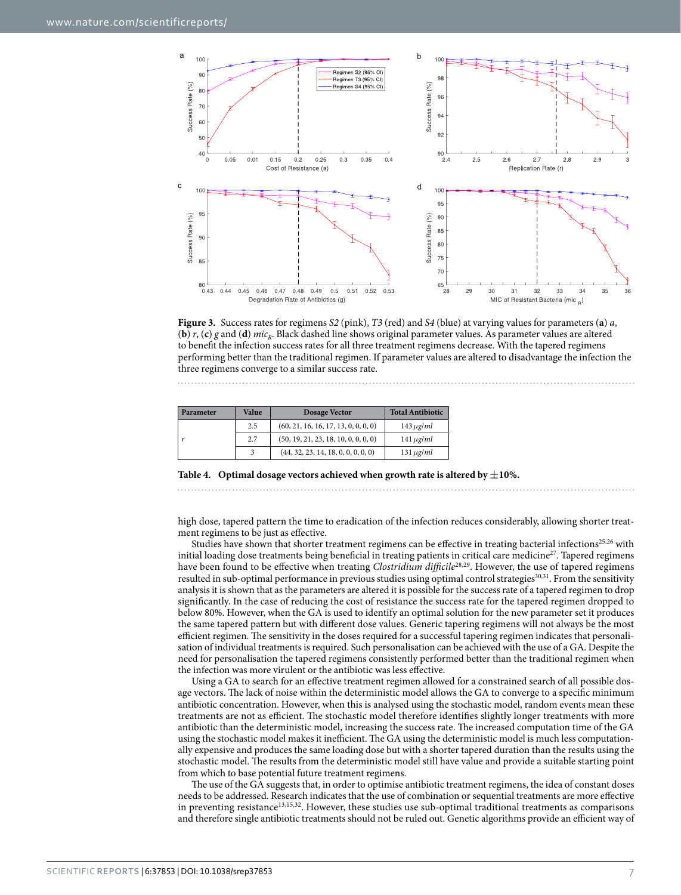

<span id="page-6-0"></span>**Figure 3.** Success rates for regimens *S2* (pink), *T3* (red) and *S4* (blue) at varying values for parameters (**a**) *a*, (**b**)  $r$ , (**c**)  $g$  and (**d**)  $mic<sub>k</sub>$ . Black dashed line shows original parameter values. As parameter values are altered to benefit the infection success rates for all three treatment regimens decrease. With the tapered regimens performing better than the traditional regimen. If parameter values are altered to disadvantage the infection the three regimens converge to a similar success rate.

<span id="page-6-1"></span>

| Parameter | <b>Value</b> | Dosage Vector                        | <b>Total Antibiotic</b> |
|-----------|--------------|--------------------------------------|-------------------------|
|           | 2.5          | (60, 21, 16, 16, 17, 13, 0, 0, 0, 0) | $143 \mu g/ml$          |
|           | 2.7          | (50, 19, 21, 23, 18, 10, 0, 0, 0, 0) | $141 \mu g/ml$          |
|           |              | (44, 32, 23, 14, 18, 0, 0, 0, 0, 0)  | $131 \mu g/ml$          |

**Table 4.** Optimal dosage vectors achieved when growth rate is altered by  $\pm 10\%$ .

high dose, tapered pattern the time to eradication of the infection reduces considerably, allowing shorter treat-

ment regimens to be just as effective. Studies have shown that shorter treatment regimens can be effective in treating bacterial infections[25](#page-8-17),[26](#page-8-18) with initial loading dose treatments being beneficial in treating patients in critical care medicine<sup>27</sup>. Tapered regimens have been found to be effective when treating *Clostridium difficile*[28](#page-8-20)[,29](#page-8-21). However, the use of tapered regimens resulted in sub-optimal performance in previous studies using optimal control strategies<sup>[30](#page-8-22),[31](#page-8-23)</sup>. From the sensitivity analysis it is shown that as the parameters are altered it is possible for the success rate of a tapered regimen to drop significantly. In the case of reducing the cost of resistance the success rate for the tapered regimen dropped to below 80%. However, when the GA is used to identify an optimal solution for the new parameter set it produces the same tapered pattern but with different dose values. Generic tapering regimens will not always be the most efficient regimen. The sensitivity in the doses required for a successful tapering regimen indicates that personalisation of individual treatments is required. Such personalisation can be achieved with the use of a GA. Despite the need for personalisation the tapered regimens consistently performed better than the traditional regimen when the infection was more virulent or the antibiotic was less effective.

Using a GA to search for an effective treatment regimen allowed for a constrained search of all possible dosage vectors. The lack of noise within the deterministic model allows the GA to converge to a specific minimum antibiotic concentration. However, when this is analysed using the stochastic model, random events mean these treatments are not as efficient. The stochastic model therefore identifies slightly longer treatments with more antibiotic than the deterministic model, increasing the success rate. The increased computation time of the GA using the stochastic model makes it inefficient. The GA using the deterministic model is much less computationally expensive and produces the same loading dose but with a shorter tapered duration than the results using the stochastic model. The results from the deterministic model still have value and provide a suitable starting point from which to base potential future treatment regimens.

The use of the GA suggests that, in order to optimise antibiotic treatment regimens, the idea of constant doses needs to be addressed. Research indicates that the use of combination or sequential treatments are more effective in preventing resistance<sup>13,[15](#page-8-24),[32](#page-8-25)</sup>. However, these studies use sub-optimal traditional treatments as comparisons and therefore single antibiotic treatments should not be ruled out. Genetic algorithms provide an efficient way of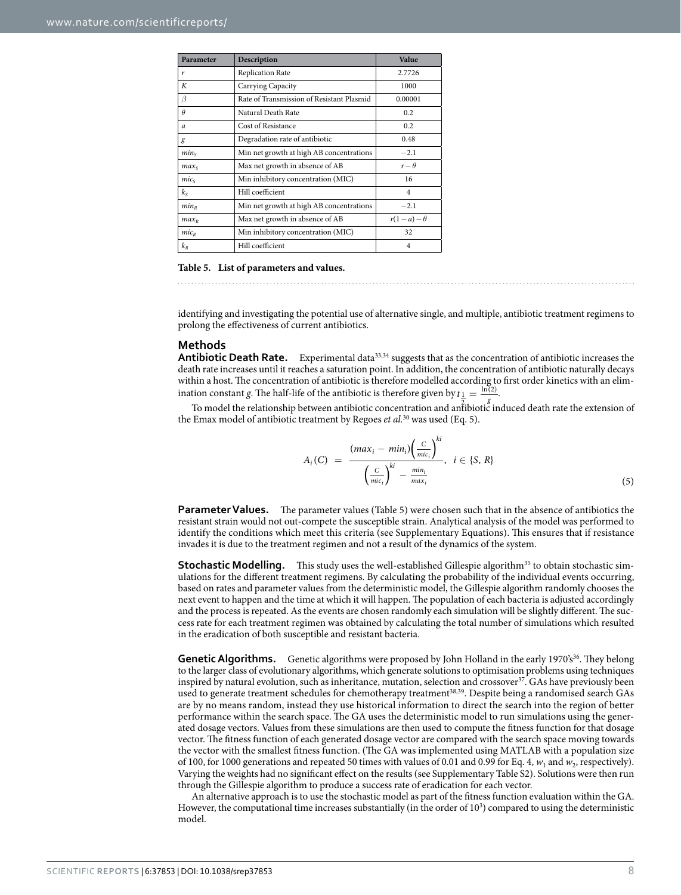<span id="page-7-0"></span>

| Parameter        | Description                               | Value           |
|------------------|-------------------------------------------|-----------------|
| r                | <b>Replication Rate</b>                   | 2.7726          |
| К                | Carrying Capacity                         | 1000            |
| β                | Rate of Transmission of Resistant Plasmid | 0.00001         |
| $\theta$         | Natural Death Rate                        | 0.2             |
| $\boldsymbol{a}$ | Cost of Resistance                        | 0.2             |
| g                | Degradation rate of antibiotic            | 0.48            |
| min <sub>s</sub> | Min net growth at high AB concentrations  | $-2.1$          |
| max <sub>s</sub> | Max net growth in absence of AB           | $r - \theta$    |
| $mic_s$          | Min inhibitory concentration (MIC)        | 16              |
| $k_{S}$          | Hill coefficient                          | $\overline{4}$  |
| $min_{R}$        | Min net growth at high AB concentrations  | $-2.1$          |
| $max_{R}$        | Max net growth in absence of AB           | $r(1-a)-\theta$ |
| $mic_R$          | Min inhibitory concentration (MIC)        | 32              |
| $k_{\rm R}$      | Hill coefficient                          | $\overline{4}$  |

**Table 5. List of parameters and values.**

identifying and investigating the potential use of alternative single, and multiple, antibiotic treatment regimens to prolong the effectiveness of current antibiotics.

#### **Methods**

**Antibiotic Death Rate.** Experimental data<sup>[33](#page-8-26),[34](#page-8-27)</sup> suggests that as the concentration of antibiotic increases the death rate increases until it reaches a saturation point. In addition, the concentration of antibiotic naturally decays within a host. The concentration of antibiotic is therefore modelled according to first order kinetics with an elimination constant *g*. The half-life of the antibiotic is therefore given by  $t_{\frac{1}{2}} = \frac{\ln(2)}{g}$ .

To model the relationship between antibiotic concentration and antibiotic induced death rate the extension of the Emax model of antibiotic treatment by Regoes *et al.*[30](#page-8-22) was used (Eq. 5).

$$
A_i(C) = \frac{(max_i - min_i) \left(\frac{C}{mic_i}\right)^{ki}}{\left(\frac{C}{mic_i}\right)^{ki} - \frac{min_i}{max_i}}, \quad i \in \{S, R\}
$$
\n
$$
(5)
$$

**Parameter Values.** The parameter values ([Table 5\)](#page-7-0) were chosen such that in the absence of antibiotics the resistant strain would not out-compete the susceptible strain. Analytical analysis of the model was performed to identify the conditions which meet this criteria (see Supplementary Equations). This ensures that if resistance invades it is due to the treatment regimen and not a result of the dynamics of the system.

**Stochastic Modelling.** This study uses the well-established Gillespie algorithm<sup>[35](#page-8-28)</sup> to obtain stochastic simulations for the different treatment regimens. By calculating the probability of the individual events occurring, based on rates and parameter values from the deterministic model, the Gillespie algorithm randomly chooses the next event to happen and the time at which it will happen. The population of each bacteria is adjusted accordingly and the process is repeated. As the events are chosen randomly each simulation will be slightly different. The success rate for each treatment regimen was obtained by calculating the total number of simulations which resulted in the eradication of both susceptible and resistant bacteria.

**Genetic Algorithms.** Genetic algorithms were proposed by John Holland in the early 1970's<sup>36</sup>. They belong to the larger class of evolutionary algorithms, which generate solutions to optimisation problems using techniques inspired by natural evolution, such as inheritance, mutation, selection and crossover<sup>37</sup>. GAs have previously been used to generate treatment schedules for chemotherapy treatment<sup>38[,39](#page-8-32)</sup>. Despite being a randomised search GAs are by no means random, instead they use historical information to direct the search into the region of better performance within the search space. The GA uses the deterministic model to run simulations using the generated dosage vectors. Values from these simulations are then used to compute the fitness function for that dosage vector. The fitness function of each generated dosage vector are compared with the search space moving towards the vector with the smallest fitness function. (The GA was implemented using MATLAB with a population size of 100, for 1000 generations and repeated 50 times with values of 0.01 and 0.99 for Eq. 4, *w*1 and *w*2, respectively). Varying the weights had no significant effect on the results (see Supplementary Table S2). Solutions were then run through the Gillespie algorithm to produce a success rate of eradication for each vector.

An alternative approach is to use the stochastic model as part of the fitness function evaluation within the GA. However, the computational time increases substantially (in the order of  $10<sup>3</sup>$ ) compared to using the deterministic model.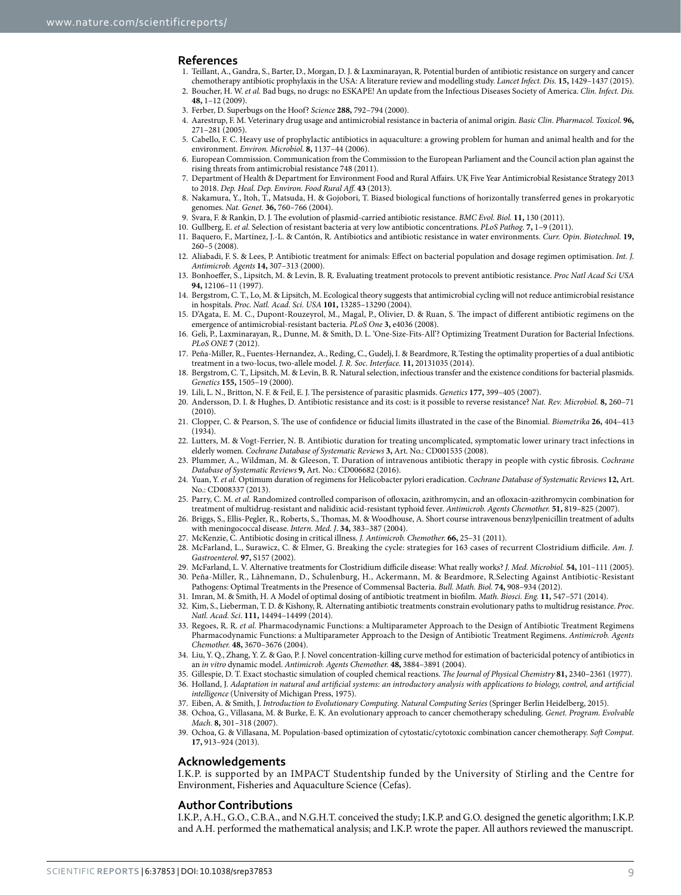#### **References**

- <span id="page-8-0"></span>1. Teillant, A., Gandra, S., Barter, D., Morgan, D. J. & Laxminarayan, R. Potential burden of antibiotic resistance on surgery and cancer chemotherapy antibiotic prophylaxis in the USA: A literature review and modelling study. *Lancet Infect. Dis.* **15,** 1429–1437 (2015).
- <span id="page-8-1"></span>2. Boucher, H. W. *et al.* Bad bugs, no drugs: no ESKAPE! An update from the Infectious Diseases Society of America. *Clin. Infect. Dis.* **48,** 1–12 (2009).
- <span id="page-8-2"></span>3. Ferber, D. Superbugs on the Hoof? *Science* **288,** 792–794 (2000).
- 4. Aarestrup, F. M. Veterinary drug usage and antimicrobial resistance in bacteria of animal origin. *Basic Clin. Pharmacol. Toxicol.* **96,** 271–281 (2005).
- 5. Cabello, F. C. Heavy use of prophylactic antibiotics in aquaculture: a growing problem for human and animal health and for the environment. *Environ. Microbiol.* **8,** 1137–44 (2006).
- <span id="page-8-3"></span>6. European Commission. Communication from the Commission to the European Parliament and the Council action plan against the rising threats from antimicrobial resistance 748 (2011).
- <span id="page-8-4"></span>7. Department of Health & Department for Environment Food and Rural Affairs. UK Five Year Antimicrobial Resistance Strategy 2013 to 2018. *Dep. Heal. Dep. Environ. Food Rural Aff.* **43** (2013).
- <span id="page-8-5"></span>8. Nakamura, Y., Itoh, T., Matsuda, H. & Gojobori, T. Biased biological functions of horizontally transferred genes in prokaryotic genomes. *Nat. Genet.* **36,** 760–766 (2004).
- <span id="page-8-7"></span><span id="page-8-6"></span>9. Svara, F. & Rankin, D. J. The evolution of plasmid-carried antibiotic resistance. *BMC Evol. Biol.* **11,** 130 (2011).
- <span id="page-8-8"></span>10. Gullberg, E. *et al.* Selection of resistant bacteria at very low antibiotic concentrations. *PLoS Pathog.* **7,** 1–9 (2011).
- 11. Baquero, F., Martínez, J.-L. & Cantón, R. Antibiotics and antibiotic resistance in water environments. *Curr. Opin. Biotechnol.* **19,** 260–5 (2008).
- <span id="page-8-9"></span>12. Aliabadi, F. S. & Lees, P. Antibiotic treatment for animals: Effect on bacterial population and dosage regimen optimisation. *Int. J. Antimicrob. Agents* **14,** 307–313 (2000).
- <span id="page-8-10"></span>13. Bonhoeffer, S., Lipsitch, M. & Levin, B. R. Evaluating treatment protocols to prevent antibiotic resistance. *Proc Natl Acad Sci USA* **94,** 12106–11 (1997).
- <span id="page-8-11"></span>14. Bergstrom, C. T., Lo, M. & Lipsitch, M. Ecological theory suggests that antimicrobial cycling will not reduce antimicrobial resistance in hospitals. *Proc. Natl. Acad. Sci. USA* **101,** 13285–13290 (2004).
- <span id="page-8-24"></span>15. D'Agata, E. M. C., Dupont-Rouzeyrol, M., Magal, P., Olivier, D. & Ruan, S. The impact of different antibiotic regimens on the emergence of antimicrobial-resistant bacteria. *PLoS One* **3,** e4036 (2008).
- 16. Geli, P., Laxminarayan, R., Dunne, M. & Smith, D. L. 'One-Size-Fits-All'? Optimizing Treatment Duration for Bacterial Infections. *PLoS ONE* **7** (2012).
- 17. Peña-Miller, R., Fuentes-Hernandez, A., Reding, C., Gudelj, I. & Beardmore, R.Testing the optimality properties of a dual antibiotic treatment in a two-locus, two-allele model. *J. R. Soc. Interface.* **11,** 20131035 (2014).
- <span id="page-8-12"></span>18. Bergstrom, C. T., Lipsitch, M. & Levin, B. R. Natural selection, infectious transfer and the existence conditions for bacterial plasmids. *Genetics* **155,** 1505–19 (2000).
- <span id="page-8-14"></span><span id="page-8-13"></span>19. Lili, L. N., Britton, N. F. & Feil, E. J. The persistence of parasitic plasmids. *Genetics* **177,** 399–405 (2007).
- 20. Andersson, D. I. & Hughes, D. Antibiotic resistance and its cost: is it possible to reverse resistance? *Nat. Rev. Microbiol.* **8,** 260–71  $(2010)$
- <span id="page-8-15"></span>21. Clopper, C. & Pearson, S. The use of confidence or fiducial limits illustrated in the case of the Binomial. *Biometrika* **26,** 404–413 (1934).
- <span id="page-8-16"></span>22. Lutters, M. & Vogt-Ferrier, N. B. Antibiotic duration for treating uncomplicated, symptomatic lower urinary tract infections in elderly women. *Cochrane Database of Systematic Reviews* **3,** Art. No.: CD001535 (2008).
- 23. Plummer, A., Wildman, M. & Gleeson, T. Duration of intravenous antibiotic therapy in people with cystic fibrosis. *Cochrane Database of Systematic Reviews* **9,** Art. No.: CD006682 (2016).
- 24. Yuan, Y. *et al.* Optimum duration of regimens for Helicobacter pylori eradication. *Cochrane Database of Systematic Reviews* **12,** Art. No.: CD008337 (2013).
- <span id="page-8-17"></span>25. Parry, C. M. *et al.* Randomized controlled comparison of ofloxacin, azithromycin, and an ofloxacin-azithromycin combination for treatment of multidrug-resistant and nalidixic acid-resistant typhoid fever. *Antimicrob. Agents Chemother.* **51,** 819–825 (2007).
- <span id="page-8-18"></span>26. Briggs, S., Ellis-Pegler, R., Roberts, S., Thomas, M. & Woodhouse, A. Short course intravenous benzylpenicillin treatment of adults with meningococcal disease. *Intern. Med. J*. **34,** 383–387 (2004).
- <span id="page-8-19"></span>27. McKenzie, C. Antibiotic dosing in critical illness. *J. Antimicrob. Chemother.* **66,** 25–31 (2011).
- <span id="page-8-20"></span>28. McFarland, L., Surawicz, C. & Elmer, G. Breaking the cycle: strategies for 163 cases of recurrent Clostridium difficile. *Am. J. Gastroenterol.* **97,** S157 (2002).
- <span id="page-8-21"></span>29. McFarland, L. V. Alternative treatments for Clostridium difficile disease: What really works? *J. Med. Microbiol.* **54,** 101–111 (2005).
- <span id="page-8-22"></span>30. Peña-Miller, R., Lähnemann, D., Schulenburg, H., Ackermann, M. & Beardmore, R.Selecting Against Antibiotic-Resistant Pathogens: Optimal Treatments in the Presence of Commensal Bacteria. *Bull. Math. Biol.* **74,** 908–934 (2012).
- <span id="page-8-23"></span>31. Imran, M. & Smith, H. A Model of optimal dosing of antibiotic treatment in biofilm. *Math. Biosci. Eng.* **11,** 547–571 (2014).
- <span id="page-8-25"></span>32. Kim, S., Lieberman, T. D. & Kishony, R. Alternating antibiotic treatments constrain evolutionary paths to multidrug resistance. *Proc. Natl. Acad. Sci*. **111,** 14494–14499 (2014).
- <span id="page-8-26"></span>33. Regoes, R. R. *et al.* Pharmacodynamic Functions: a Multiparameter Approach to the Design of Antibiotic Treatment Regimens Pharmacodynamic Functions: a Multiparameter Approach to the Design of Antibiotic Treatment Regimens. *Antimicrob. Agents Chemother.* **48,** 3670–3676 (2004).
- <span id="page-8-27"></span>34. Liu, Y. Q., Zhang, Y. Z. & Gao, P. J. Novel concentration-killing curve method for estimation of bactericidal potency of antibiotics in an *in vitro* dynamic model. *Antimicrob. Agents Chemother.* **48,** 3884–3891 (2004).
- <span id="page-8-28"></span>35. Gillespie, D. T. Exact stochastic simulation of coupled chemical reactions. *The Journal of Physical Chemistry* **81,** 2340–2361 (1977).
- <span id="page-8-29"></span>36. Holland, J. *Adaptation in natural and artificial systems: an introductory analysis with applications to biology, control, and artificial intelligence* (University of Michigan Press, 1975).
- 37. Eiben, A. & Smith, J. *Introduction to Evolutionary Computing. Natural Computing Series* (Springer Berlin Heidelberg, 2015).
- <span id="page-8-31"></span><span id="page-8-30"></span>38. Ochoa, G., Villasana, M. & Burke, E. K. An evolutionary approach to cancer chemotherapy scheduling. *Genet. Program. Evolvable Mach*. **8,** 301–318 (2007).
- <span id="page-8-32"></span>39. Ochoa, G. & Villasana, M. Population-based optimization of cytostatic/cytotoxic combination cancer chemotherapy. *Soft Comput.* **17,** 913–924 (2013).

#### **Acknowledgements**

I.K.P. is supported by an IMPACT Studentship funded by the University of Stirling and the Centre for Environment, Fisheries and Aquaculture Science (Cefas).

#### **Author Contributions**

I.K.P., A.H., G.O., C.B.A., and N.G.H.T. conceived the study; I.K.P. and G.O. designed the genetic algorithm; I.K.P. and A.H. performed the mathematical analysis; and I.K.P. wrote the paper. All authors reviewed the manuscript.